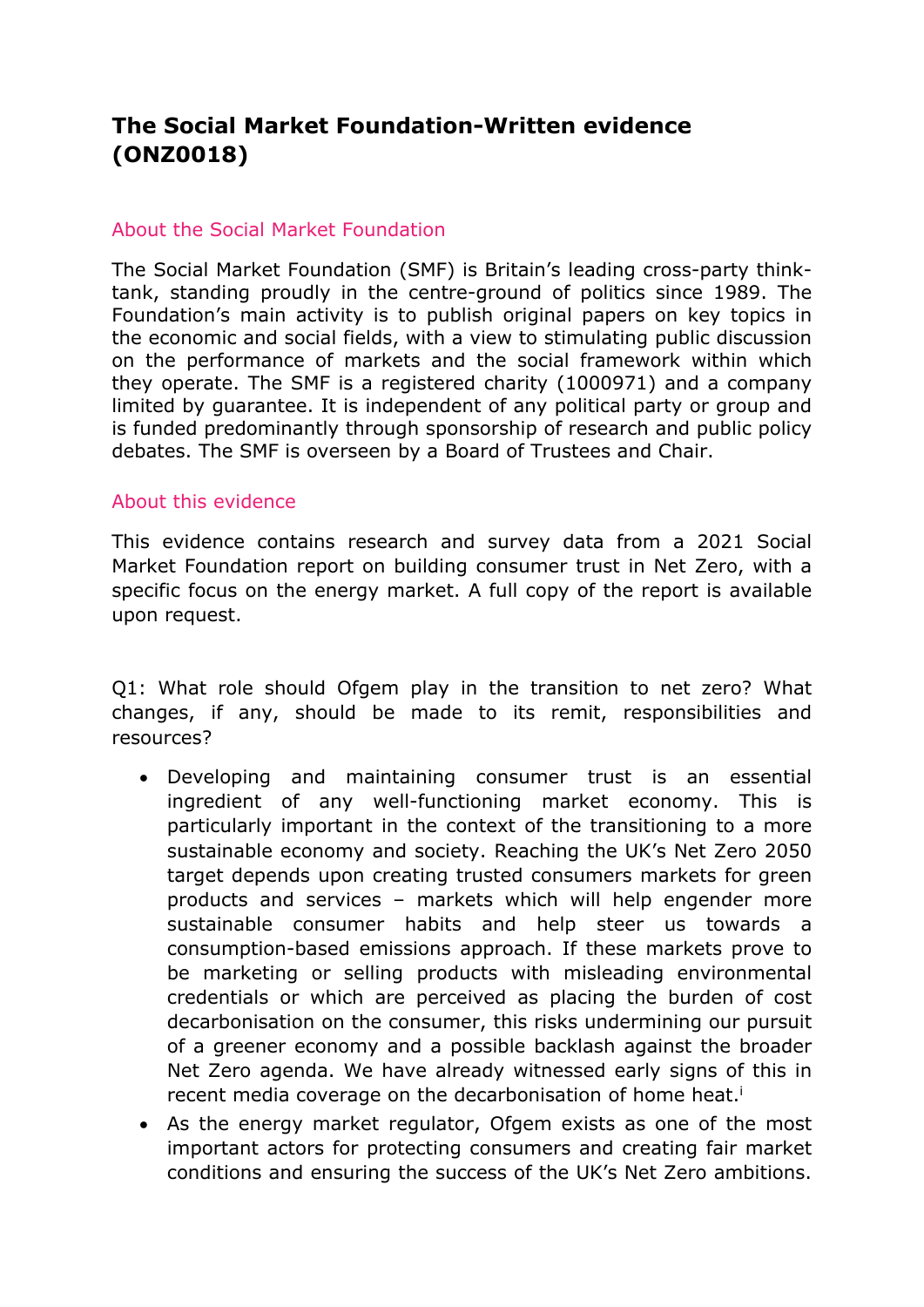# **The Social Market Foundation-Written evidence (ONZ0018)**

### About the Social Market Foundation

The Social Market Foundation (SMF) is Britain's leading cross-party thinktank, standing proudly in the centre-ground of politics since 1989. The Foundation's main activity is to publish original papers on key topics in the economic and social fields, with a view to stimulating public discussion on the performance of markets and the social framework within which they operate. The SMF is a registered charity (1000971) and a company limited by guarantee. It is independent of any political party or group and is funded predominantly through sponsorship of research and public policy debates. The SMF is overseen by a Board of Trustees and Chair.

#### About this evidence

This evidence contains research and survey data from a 2021 Social Market Foundation report on building consumer trust in Net Zero, with a specific focus on the energy market. A full copy of the report is available upon request.

Q1: What role should Ofgem play in the transition to net zero? What changes, if any, should be made to its remit, responsibilities and resources?

- Developing and maintaining consumer trust is an essential ingredient of any well-functioning market economy. This is particularly important in the context of the transitioning to a more sustainable economy and society. Reaching the UK's Net Zero 2050 target depends upon creating trusted consumers markets for green products and services – markets which will help engender more sustainable consumer habits and help steer us towards a consumption-based emissions approach. If these markets prove to be marketing or selling products with misleading environmental credentials or which are perceived as placing the burden of cost decarbonisation on the consumer, this risks undermining our pursuit of a greener economy and a possible backlash against the broader Net Zero agenda. We have already witnessed early signs of this in recent media coverage on the decarbonisation of home heat.<sup>i</sup>
- As the energy market regulator, Ofgem exists as one of the most important actors for protecting consumers and creating fair market conditions and ensuring the success of the UK's Net Zero ambitions.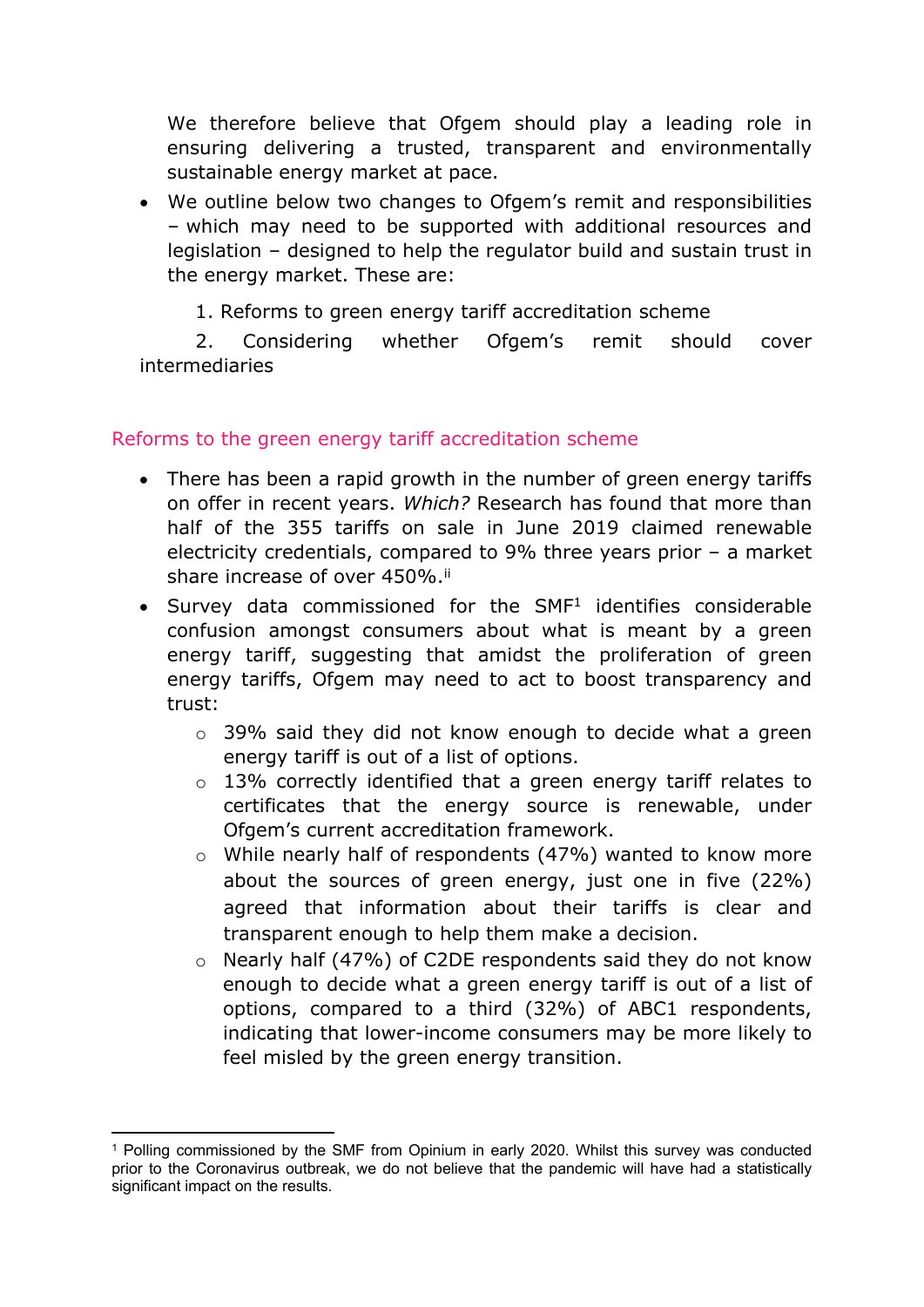We therefore believe that Ofgem should play a leading role in ensuring delivering a trusted, transparent and environmentally sustainable energy market at pace.

- We outline below two changes to Ofgem's remit and responsibilities – which may need to be supported with additional resources and legislation – designed to help the regulator build and sustain trust in the energy market. These are:
	- 1. Reforms to green energy tariff accreditation scheme

2. Considering whether Ofgem's remit should cover intermediaries

# Reforms to the green energy tariff accreditation scheme

- There has been a rapid growth in the number of green energy tariffs on offer in recent years. *Which?* Research has found that more than half of the 355 tariffs on sale in June 2019 claimed renewable electricity credentials, compared to 9% three years prior – a market share increase of over 450%.<sup>ii</sup>
- $\bullet$  Survey data commissioned for the SMF<sup>1</sup> identifies considerable confusion amongst consumers about what is meant by a green energy tariff, suggesting that amidst the proliferation of green energy tariffs, Ofgem may need to act to boost transparency and trust:
	- o 39% said they did not know enough to decide what a green energy tariff is out of a list of options.
	- o 13% correctly identified that a green energy tariff relates to certificates that the energy source is renewable, under Ofgem's current accreditation framework.
	- o While nearly half of respondents (47%) wanted to know more about the sources of green energy, just one in five (22%) agreed that information about their tariffs is clear and transparent enough to help them make a decision.
	- o Nearly half (47%) of C2DE respondents said they do not know enough to decide what a green energy tariff is out of a list of options, compared to a third (32%) of ABC1 respondents, indicating that lower-income consumers may be more likely to feel misled by the green energy transition.

<sup>1</sup> Polling commissioned by the SMF from Opinium in early 2020. Whilst this survey was conducted prior to the Coronavirus outbreak, we do not believe that the pandemic will have had a statistically significant impact on the results.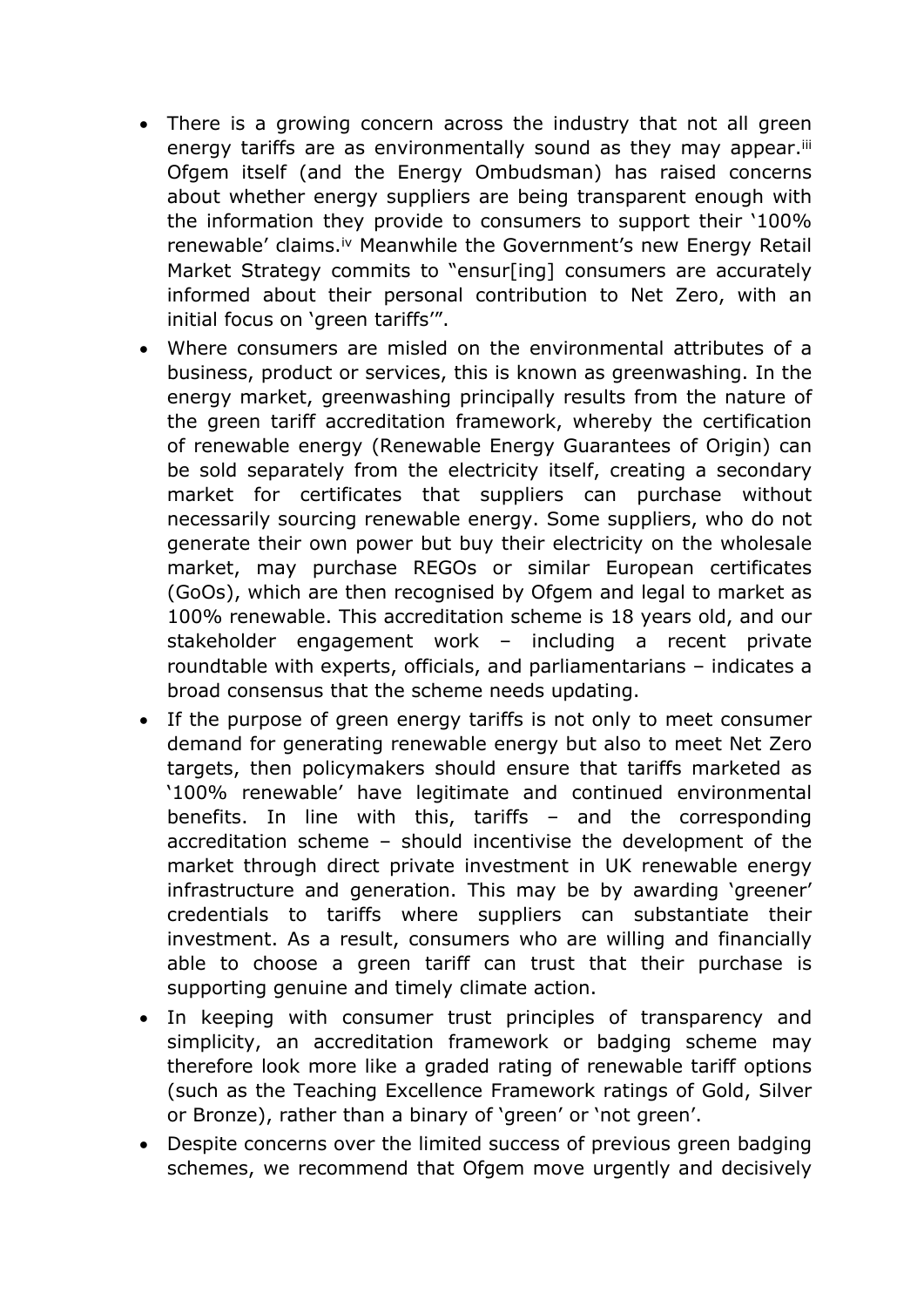- There is a growing concern across the industry that not all green energy tariffs are as environmentally sound as they may appear.<sup>iii</sup> Ofgem itself (and the Energy Ombudsman) has raised concerns about whether energy suppliers are being transparent enough with the information they provide to consumers to support their '100% renewable' claims.iv Meanwhile the Government's new Energy Retail Market Strategy commits to "ensur[ing] consumers are accurately informed about their personal contribution to Net Zero, with an initial focus on 'green tariffs'".
- Where consumers are misled on the environmental attributes of a business, product or services, this is known as greenwashing. In the energy market, greenwashing principally results from the nature of the green tariff accreditation framework, whereby the certification of renewable energy (Renewable Energy Guarantees of Origin) can be sold separately from the electricity itself, creating a secondary market for certificates that suppliers can purchase without necessarily sourcing renewable energy. Some suppliers, who do not generate their own power but buy their electricity on the wholesale market, may purchase REGOs or similar European certificates (GoOs), which are then recognised by Ofgem and legal to market as 100% renewable. This accreditation scheme is 18 years old, and our stakeholder engagement work – including a recent private roundtable with experts, officials, and parliamentarians – indicates a broad consensus that the scheme needs updating.
- If the purpose of green energy tariffs is not only to meet consumer demand for generating renewable energy but also to meet Net Zero targets, then policymakers should ensure that tariffs marketed as '100% renewable' have legitimate and continued environmental benefits. In line with this, tariffs – and the corresponding accreditation scheme – should incentivise the development of the market through direct private investment in UK renewable energy infrastructure and generation. This may be by awarding 'greener' credentials to tariffs where suppliers can substantiate their investment. As a result, consumers who are willing and financially able to choose a green tariff can trust that their purchase is supporting genuine and timely climate action.
- In keeping with consumer trust principles of transparency and simplicity, an accreditation framework or badging scheme may therefore look more like a graded rating of renewable tariff options (such as the Teaching Excellence Framework ratings of Gold, Silver or Bronze), rather than a binary of 'green' or 'not green'.
- Despite concerns over the limited success of previous green badging schemes, we recommend that Ofgem move urgently and decisively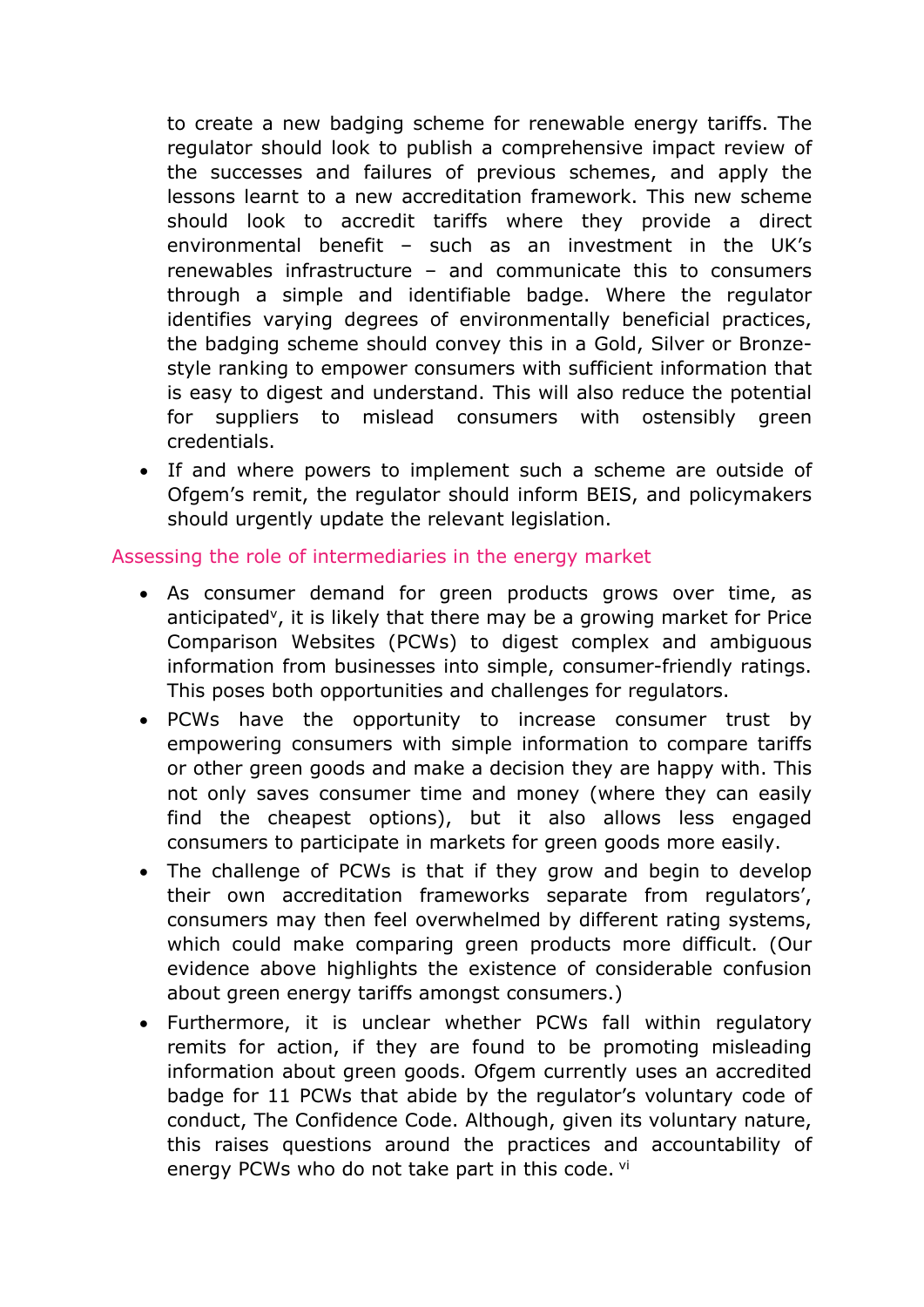to create a new badging scheme for renewable energy tariffs. The regulator should look to publish a comprehensive impact review of the successes and failures of previous schemes, and apply the lessons learnt to a new accreditation framework. This new scheme should look to accredit tariffs where they provide a direct environmental benefit – such as an investment in the UK's renewables infrastructure – and communicate this to consumers through a simple and identifiable badge. Where the regulator identifies varying degrees of environmentally beneficial practices, the badging scheme should convey this in a Gold, Silver or Bronzestyle ranking to empower consumers with sufficient information that is easy to digest and understand. This will also reduce the potential for suppliers to mislead consumers with ostensibly green credentials.

• If and where powers to implement such a scheme are outside of Ofgem's remit, the regulator should inform BEIS, and policymakers should urgently update the relevant legislation.

## Assessing the role of intermediaries in the energy market

- As consumer demand for green products grows over time, as anticipated<sup>v</sup>, it is likely that there may be a growing market for Price Comparison Websites (PCWs) to digest complex and ambiguous information from businesses into simple, consumer-friendly ratings. This poses both opportunities and challenges for regulators.
- PCWs have the opportunity to increase consumer trust by empowering consumers with simple information to compare tariffs or other green goods and make a decision they are happy with. This not only saves consumer time and money (where they can easily find the cheapest options), but it also allows less engaged consumers to participate in markets for green goods more easily.
- The challenge of PCWs is that if they grow and begin to develop their own accreditation frameworks separate from regulators', consumers may then feel overwhelmed by different rating systems, which could make comparing green products more difficult. (Our evidence above highlights the existence of considerable confusion about green energy tariffs amongst consumers.)
- Furthermore, it is unclear whether PCWs fall within regulatory remits for action, if they are found to be promoting misleading information about green goods. Ofgem currently uses an accredited badge for 11 PCWs that abide by the regulator's voluntary code of conduct, The Confidence Code. Although, given its voluntary nature, this raises questions around the practices and accountability of energy PCWs who do not take part in this code. vi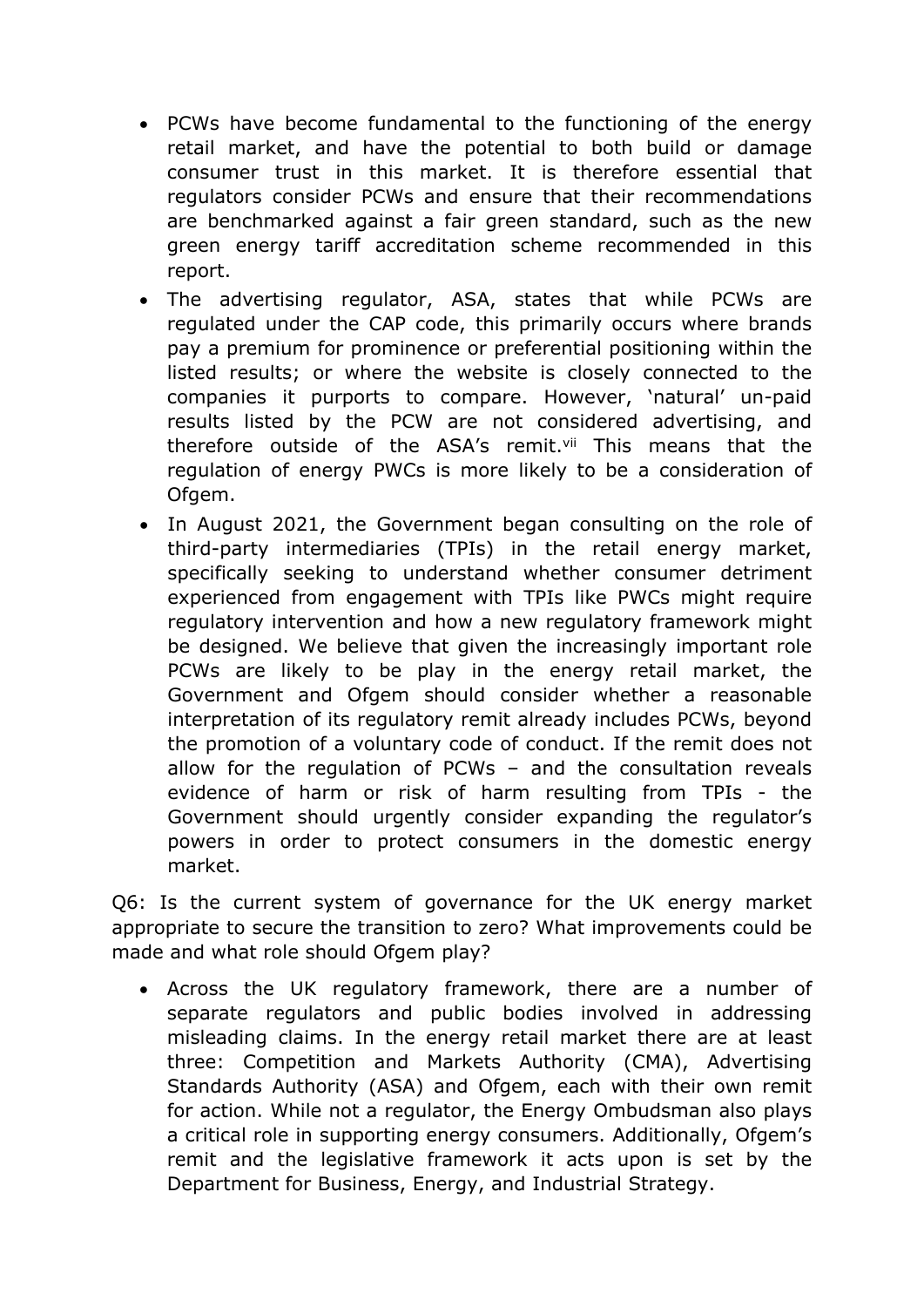- PCWs have become fundamental to the functioning of the energy retail market, and have the potential to both build or damage consumer trust in this market. It is therefore essential that regulators consider PCWs and ensure that their recommendations are benchmarked against a fair green standard, such as the new green energy tariff accreditation scheme recommended in this report.
- The advertising regulator, ASA, states that while PCWs are regulated under the CAP code, this primarily occurs where brands pay a premium for prominence or preferential positioning within the listed results; or where the website is closely connected to the companies it purports to compare. However, 'natural' un-paid results listed by the PCW are not considered advertising, and therefore outside of the ASA's remit.<sup>vii</sup> This means that the regulation of energy PWCs is more likely to be a consideration of Ofgem.
- In August 2021, the Government began consulting on the role of third-party intermediaries (TPIs) in the retail energy market, specifically seeking to understand whether consumer detriment experienced from engagement with TPIs like PWCs might require regulatory intervention and how a new regulatory framework might be designed. We believe that given the increasingly important role PCWs are likely to be play in the energy retail market, the Government and Ofgem should consider whether a reasonable interpretation of its regulatory remit already includes PCWs, beyond the promotion of a voluntary code of conduct. If the remit does not allow for the regulation of PCWs – and the consultation reveals evidence of harm or risk of harm resulting from TPIs - the Government should urgently consider expanding the regulator's powers in order to protect consumers in the domestic energy market.

Q6: Is the current system of governance for the UK energy market appropriate to secure the transition to zero? What improvements could be made and what role should Ofgem play?

 Across the UK regulatory framework, there are a number of separate regulators and public bodies involved in addressing misleading claims. In the energy retail market there are at least three: Competition and Markets Authority (CMA), Advertising Standards Authority (ASA) and Ofgem, each with their own remit for action. While not a regulator, the Energy Ombudsman also plays a critical role in supporting energy consumers. Additionally, Ofgem's remit and the legislative framework it acts upon is set by the Department for Business, Energy, and Industrial Strategy.